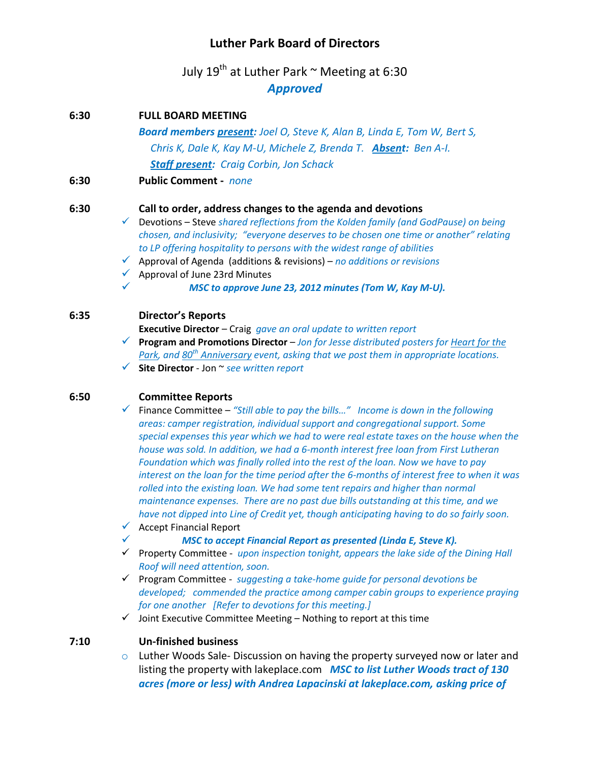# **Luther Park Board of Directors**

July 19<sup>th</sup> at Luther Park  $\sim$  Meeting at 6:30 *Approved*

| 6:30 |              | <b>FULL BOARD MEETING</b>                                                                                                                                                                  |
|------|--------------|--------------------------------------------------------------------------------------------------------------------------------------------------------------------------------------------|
|      |              | <b>Board members present:</b> Joel O, Steve K, Alan B, Linda E, Tom W, Bert S,                                                                                                             |
|      |              | Chris K, Dale K, Kay M-U, Michele Z, Brenda T. Absent: Ben A-I.                                                                                                                            |
|      |              | <b>Staff present: Craig Corbin, Jon Schack</b>                                                                                                                                             |
| 6:30 |              | <b>Public Comment</b> - <i>none</i>                                                                                                                                                        |
| 6:30 |              | Call to order, address changes to the agenda and devotions                                                                                                                                 |
|      |              | $\checkmark$ Devotions – Steve shared reflections from the Kolden family (and GodPause) on being<br>chosen, and inclusivity; "everyone deserves to be chosen one time or another" relating |
|      | $\checkmark$ | to LP offering hospitality to persons with the widest range of abilities<br>Approval of Agenda (additions & revisions) – no additions or revisions                                         |
|      | $\checkmark$ | Approval of June 23rd Minutes                                                                                                                                                              |
|      | ✓            | MSC to approve June 23, 2012 minutes (Tom W, Kay M-U).                                                                                                                                     |
| 6:35 |              | <b>Director's Reports</b>                                                                                                                                                                  |
|      |              | <b>Executive Director</b> – Craig <i>gave an oral update to written report</i>                                                                                                             |

 **Program and Promotions Director** – *Jon for Jesse distributed posters for Heart for the Park, and 80th Anniversary event, asking that we post them in appropriate locations.* **Site Director** - Jon ~ *see written report*

### **6:50 Committee Reports**

 Finance Committee – *"Still able to pay the bills…" Income is down in the following areas: camper registration, individual support and congregational support. Some special expenses this year which we had to were real estate taxes on the house when the house was sold. In addition, we had a 6-month interest free loan from First Lutheran Foundation which was finally rolled into the rest of the loan. Now we have to pay interest on the loan for the time period after the 6-months of interest free to when it was rolled into the existing loan. We had some tent repairs and higher than normal maintenance expenses. There are no past due bills outstanding at this time, and we have not dipped into Line of Credit yet, though anticipating having to do so fairly soon.*

- $\checkmark$  Accept Financial Report
	- *MSC to accept Financial Report as presented (Linda E, Steve K).*
- Property Committee *upon inspection tonight, appears the lake side of the Dining Hall Roof will need attention, soon.*

 Program Committee - *suggesting a take-home guide for personal devotions be developed; commended the practice among camper cabin groups to experience praying for one another [Refer to devotions for this meeting.]* 

 $\checkmark$  Joint Executive Committee Meeting – Nothing to report at this time

### **7:10 Un-finished business**

 $\circ$  Luther Woods Sale-Discussion on having the property surveyed now or later and listing the property with lakeplace.com *MSC to list Luther Woods tract of 130 acres (more or less) with Andrea Lapacinski at lakeplace.com, asking price of*